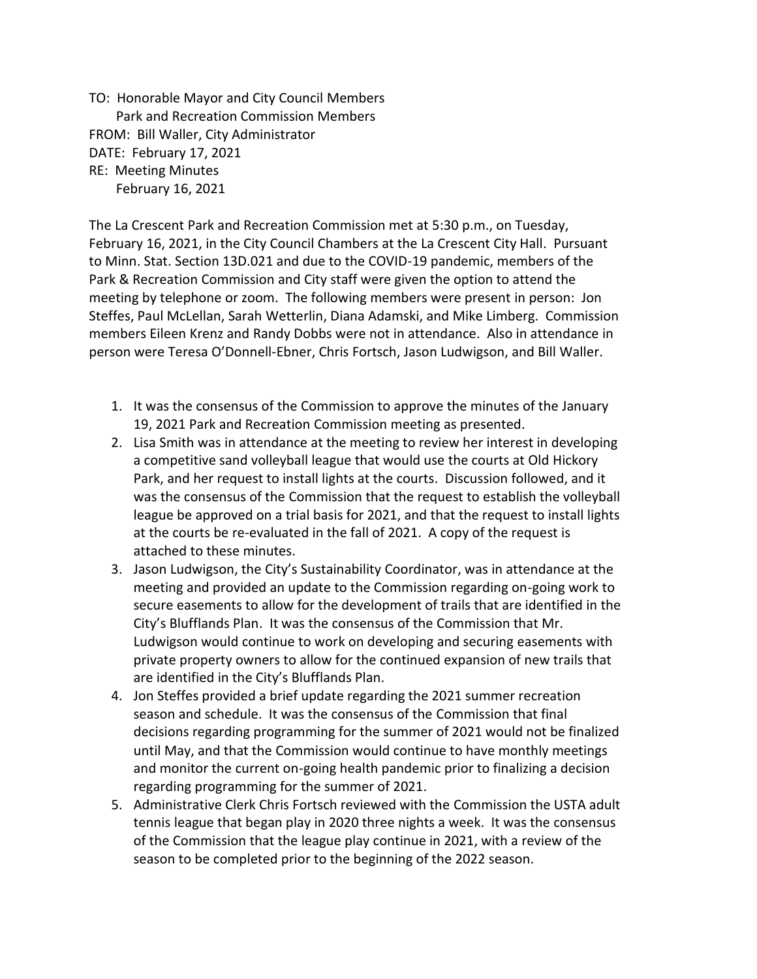TO: Honorable Mayor and City Council Members Park and Recreation Commission Members FROM: Bill Waller, City Administrator DATE: February 17, 2021 RE: Meeting Minutes February 16, 2021

The La Crescent Park and Recreation Commission met at 5:30 p.m., on Tuesday, February 16, 2021, in the City Council Chambers at the La Crescent City Hall. Pursuant to Minn. Stat. Section 13D.021 and due to the COVID-19 pandemic, members of the Park & Recreation Commission and City staff were given the option to attend the meeting by telephone or zoom. The following members were present in person: Jon Steffes, Paul McLellan, Sarah Wetterlin, Diana Adamski, and Mike Limberg. Commission members Eileen Krenz and Randy Dobbs were not in attendance. Also in attendance in person were Teresa O'Donnell-Ebner, Chris Fortsch, Jason Ludwigson, and Bill Waller.

- 1. It was the consensus of the Commission to approve the minutes of the January 19, 2021 Park and Recreation Commission meeting as presented.
- 2. Lisa Smith was in attendance at the meeting to review her interest in developing a competitive sand volleyball league that would use the courts at Old Hickory Park, and her request to install lights at the courts. Discussion followed, and it was the consensus of the Commission that the request to establish the volleyball league be approved on a trial basis for 2021, and that the request to install lights at the courts be re-evaluated in the fall of 2021. A copy of the request is attached to these minutes.
- 3. Jason Ludwigson, the City's Sustainability Coordinator, was in attendance at the meeting and provided an update to the Commission regarding on-going work to secure easements to allow for the development of trails that are identified in the City's Blufflands Plan. It was the consensus of the Commission that Mr. Ludwigson would continue to work on developing and securing easements with private property owners to allow for the continued expansion of new trails that are identified in the City's Blufflands Plan.
- 4. Jon Steffes provided a brief update regarding the 2021 summer recreation season and schedule. It was the consensus of the Commission that final decisions regarding programming for the summer of 2021 would not be finalized until May, and that the Commission would continue to have monthly meetings and monitor the current on-going health pandemic prior to finalizing a decision regarding programming for the summer of 2021.
- 5. Administrative Clerk Chris Fortsch reviewed with the Commission the USTA adult tennis league that began play in 2020 three nights a week. It was the consensus of the Commission that the league play continue in 2021, with a review of the season to be completed prior to the beginning of the 2022 season.